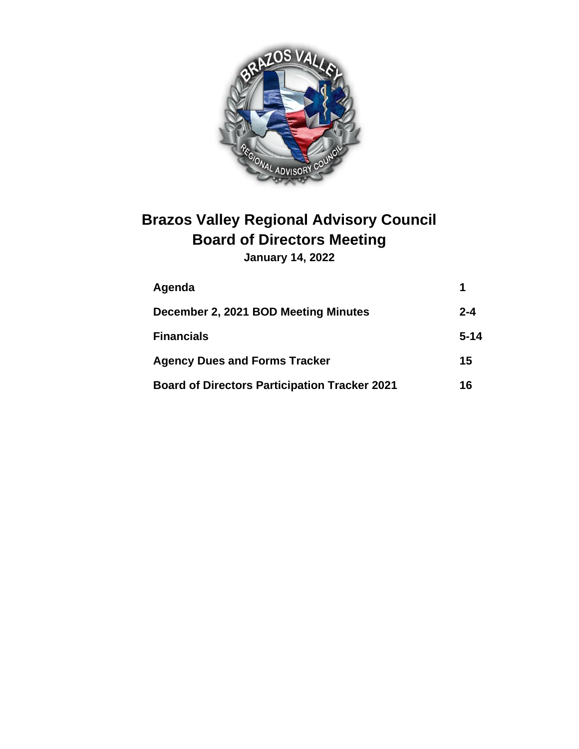

# **Brazos Valley Regional Advisory Council Board of Directors Meeting**

**January 14, 2022**

| Agenda                                               | 1        |
|------------------------------------------------------|----------|
| December 2, 2021 BOD Meeting Minutes                 | $2 - 4$  |
| <b>Financials</b>                                    | $5 - 14$ |
| <b>Agency Dues and Forms Tracker</b>                 | 15       |
| <b>Board of Directors Participation Tracker 2021</b> | 16       |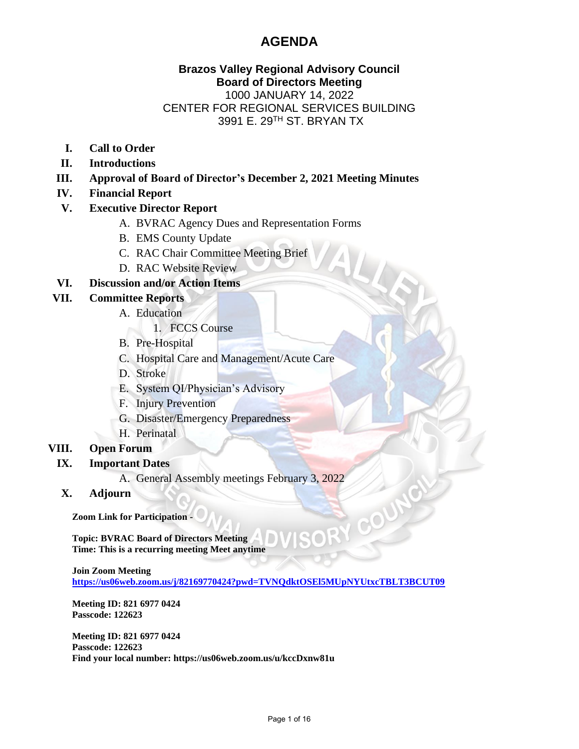## **AGENDA**

## **Brazos Valley Regional Advisory Council Board of Directors Meeting** 1000 JANUARY 14, 2022 CENTER FOR REGIONAL SERVICES BUILDING 3991 E. 29TH ST. BRYAN TX

ALT

N COU

- **I. Call to Order**
- **II. Introductions**
- **III. Approval of Board of Director's December 2, 2021 Meeting Minutes**
- **IV. Financial Report**
- **V. Executive Director Report**
	- A. BVRAC Agency Dues and Representation Forms
	- B. EMS County Update
	- C. RAC Chair Committee Meeting Brief
	- D. RAC Website Review

### **VI. Discussion and/or Action Items**

## **VII. Committee Reports**

- A. Education
	- 1. FCCS Course
- B. Pre-Hospital
- C. Hospital Care and Management/Acute Care
- D. Stroke
- E. System QI/Physician's Advisory
- F. Injury Prevention
- G. Disaster/Emergency Preparedness
- H. Perinatal

## **VIII. Open Forum**

- **IX. Important Dates**
	- A. General Assembly meetings February 3, 2022
	- **X. Adjourn**

**Zoom Link for Participation -**

**Topic: BVRAC Board of Directors Meeting Time: This is a recurring meeting Meet anytime**

**Join Zoom Meeting** 

**<https://us06web.zoom.us/j/82169770424?pwd=TVNQdktOSEl5MUpNYUtxcTBLT3BCUT09>**

**Meeting ID: 821 6977 0424 Passcode: 122623**

**Meeting ID: 821 6977 0424 Passcode: 122623 Find your local number: https://us06web.zoom.us/u/kccDxnw81u**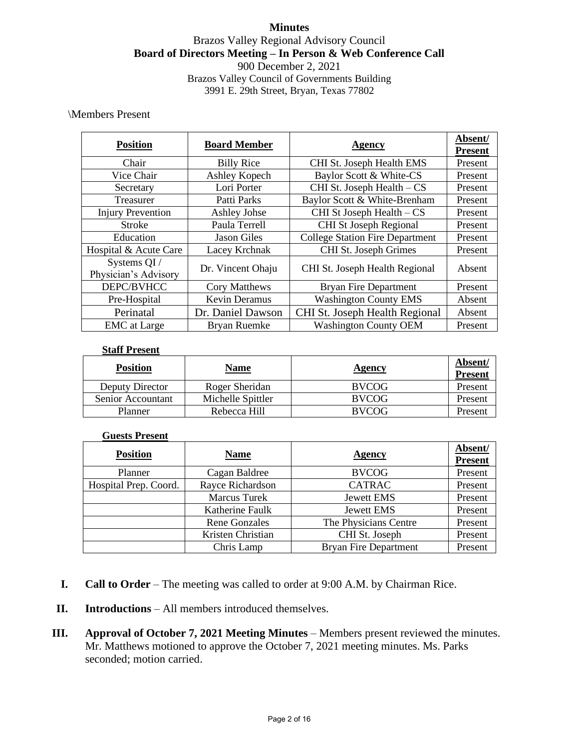## **Minutes** Brazos Valley Regional Advisory Council **Board of Directors Meeting – In Person & Web Conference Call** 900 December 2, 2021 Brazos Valley Council of Governments Building 3991 E. 29th Street, Bryan, Texas 77802

### \Members Present

| <b>Position</b>                      | <b>Board Member</b>  | <b>Agency</b>                          | Absent/<br><b>Present</b> |
|--------------------------------------|----------------------|----------------------------------------|---------------------------|
| Chair                                | <b>Billy Rice</b>    | CHI St. Joseph Health EMS              | Present                   |
| Vice Chair                           | Ashley Kopech        | Baylor Scott & White-CS                | Present                   |
| Secretary                            | Lori Porter          | CHI St. Joseph Health - CS             | Present                   |
| Treasurer                            | Patti Parks          | Baylor Scott & White-Brenham           | Present                   |
| <b>Injury Prevention</b>             | <b>Ashley Johse</b>  | CHI St Joseph Health - CS              | Present                   |
| <b>Stroke</b>                        | Paula Terrell        | CHI St Joseph Regional                 | Present                   |
| Education                            | <b>Jason Giles</b>   | <b>College Station Fire Department</b> | Present                   |
| Hospital & Acute Care                | Lacey Krchnak        | CHI St. Joseph Grimes                  | Present                   |
| Systems QI /<br>Physician's Advisory | Dr. Vincent Ohaju    | CHI St. Joseph Health Regional         | Absent                    |
| DEPC/BVHCC                           | Cory Matthews        | <b>Bryan Fire Department</b>           | Present                   |
| Pre-Hospital                         | <b>Kevin Deramus</b> | <b>Washington County EMS</b>           | Absent                    |
| Perinatal                            | Dr. Daniel Dawson    | CHI St. Joseph Health Regional         | Absent                    |
| <b>EMC</b> at Large                  | <b>Bryan Ruemke</b>  | <b>Washington County OEM</b>           | Present                   |

#### **Staff Present**

| <b>Position</b>   | <b>Name</b>       | Agency       | Absent/<br><b>Present</b> |
|-------------------|-------------------|--------------|---------------------------|
| Deputy Director   | Roger Sheridan    | <b>BVCOG</b> | Present                   |
| Senior Accountant | Michelle Spittler | <b>BVCOG</b> | Present                   |
| Planner           | Rebecca Hill      | <b>RVCOG</b> | Present                   |

#### **Guests Present**

| <b>Position</b>       | <b>Name</b>          | <b>Agency</b>                | Absent/<br><b>Present</b> |
|-----------------------|----------------------|------------------------------|---------------------------|
| Planner               | Cagan Baldree        | <b>BVCOG</b>                 | Present                   |
| Hospital Prep. Coord. | Rayce Richardson     | <b>CATRAC</b>                | Present                   |
|                       | <b>Marcus Turek</b>  | <b>Jewett EMS</b>            | Present                   |
|                       | Katherine Faulk      | Jewett EMS                   | Present                   |
|                       | <b>Rene Gonzales</b> | The Physicians Centre        | Present                   |
|                       | Kristen Christian    | CHI St. Joseph               | Present                   |
|                       | Chris Lamp           | <b>Bryan Fire Department</b> | Present                   |

- **I. Call to Order** The meeting was called to order at 9:00 A.M. by Chairman Rice.
- **II. Introductions** All members introduced themselves.
- **III. Approval of October 7, 2021 Meeting Minutes** Members present reviewed the minutes. Mr. Matthews motioned to approve the October 7, 2021 meeting minutes. Ms. Parks seconded; motion carried.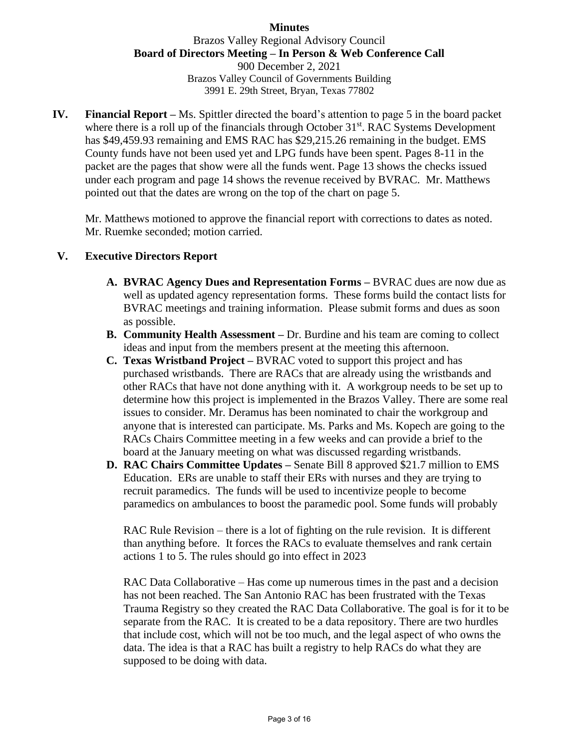## **Minutes**

## Brazos Valley Regional Advisory Council **Board of Directors Meeting – In Person & Web Conference Call** 900 December 2, 2021 Brazos Valley Council of Governments Building 3991 E. 29th Street, Bryan, Texas 77802

**IV. Financial Report –** Ms. Spittler directed the board's attention to page 5 in the board packet where there is a roll up of the financials through October 31<sup>st</sup>. RAC Systems Development has \$49,459.93 remaining and EMS RAC has \$29,215.26 remaining in the budget. EMS County funds have not been used yet and LPG funds have been spent. Pages 8-11 in the packet are the pages that show were all the funds went. Page 13 shows the checks issued under each program and page 14 shows the revenue received by BVRAC. Mr. Matthews pointed out that the dates are wrong on the top of the chart on page 5.

Mr. Matthews motioned to approve the financial report with corrections to dates as noted. Mr. Ruemke seconded; motion carried.

### **V. Executive Directors Report**

- **A. BVRAC Agency Dues and Representation Forms –** BVRAC dues are now due as well as updated agency representation forms. These forms build the contact lists for BVRAC meetings and training information. Please submit forms and dues as soon as possible.
- **B. Community Health Assessment –** Dr. Burdine and his team are coming to collect ideas and input from the members present at the meeting this afternoon.
- **C. Texas Wristband Project –** BVRAC voted to support this project and has purchased wristbands. There are RACs that are already using the wristbands and other RACs that have not done anything with it. A workgroup needs to be set up to determine how this project is implemented in the Brazos Valley. There are some real issues to consider. Mr. Deramus has been nominated to chair the workgroup and anyone that is interested can participate. Ms. Parks and Ms. Kopech are going to the RACs Chairs Committee meeting in a few weeks and can provide a brief to the board at the January meeting on what was discussed regarding wristbands.
- **D. RAC Chairs Committee Updates –** Senate Bill 8 approved \$21.7 million to EMS Education. ERs are unable to staff their ERs with nurses and they are trying to recruit paramedics. The funds will be used to incentivize people to become paramedics on ambulances to boost the paramedic pool. Some funds will probably

RAC Rule Revision – there is a lot of fighting on the rule revision. It is different than anything before. It forces the RACs to evaluate themselves and rank certain actions 1 to 5. The rules should go into effect in 2023

RAC Data Collaborative – Has come up numerous times in the past and a decision has not been reached. The San Antonio RAC has been frustrated with the Texas Trauma Registry so they created the RAC Data Collaborative. The goal is for it to be separate from the RAC. It is created to be a data repository. There are two hurdles that include cost, which will not be too much, and the legal aspect of who owns the data. The idea is that a RAC has built a registry to help RACs do what they are supposed to be doing with data.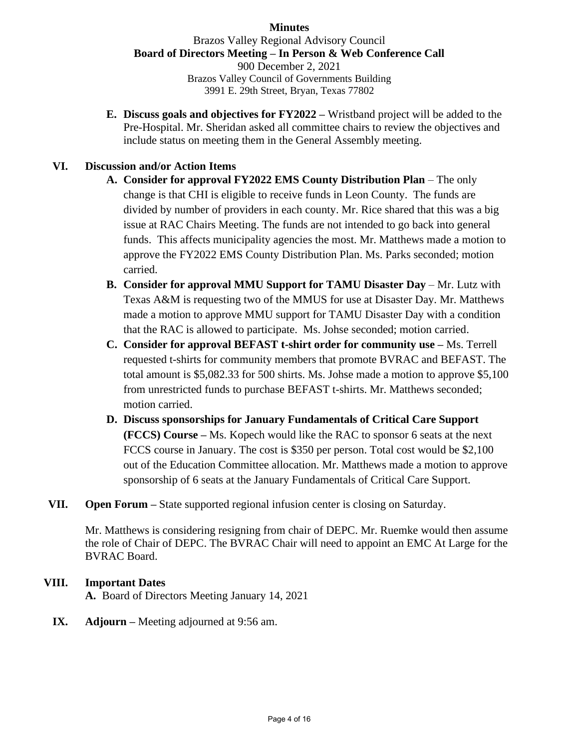## **Minutes**

### Brazos Valley Regional Advisory Council **Board of Directors Meeting – In Person & Web Conference Call**

900 December 2, 2021 Brazos Valley Council of Governments Building 3991 E. 29th Street, Bryan, Texas 77802

**E. Discuss goals and objectives for FY2022 –** Wristband project will be added to the Pre-Hospital. Mr. Sheridan asked all committee chairs to review the objectives and include status on meeting them in the General Assembly meeting.

## **VI. Discussion and/or Action Items**

- **A. Consider for approval FY2022 EMS County Distribution Plan** The only change is that CHI is eligible to receive funds in Leon County. The funds are divided by number of providers in each county. Mr. Rice shared that this was a big issue at RAC Chairs Meeting. The funds are not intended to go back into general funds. This affects municipality agencies the most. Mr. Matthews made a motion to approve the FY2022 EMS County Distribution Plan. Ms. Parks seconded; motion carried.
- **B. Consider for approval MMU Support for TAMU Disaster Day** Mr. Lutz with Texas A&M is requesting two of the MMUS for use at Disaster Day. Mr. Matthews made a motion to approve MMU support for TAMU Disaster Day with a condition that the RAC is allowed to participate. Ms. Johse seconded; motion carried.
- **C. Consider for approval BEFAST t-shirt order for community use –** Ms. Terrell requested t-shirts for community members that promote BVRAC and BEFAST. The total amount is \$5,082.33 for 500 shirts. Ms. Johse made a motion to approve \$5,100 from unrestricted funds to purchase BEFAST t-shirts. Mr. Matthews seconded; motion carried.
- **D. Discuss sponsorships for January Fundamentals of Critical Care Support (FCCS) Course –** Ms. Kopech would like the RAC to sponsor 6 seats at the next FCCS course in January. The cost is \$350 per person. Total cost would be \$2,100 out of the Education Committee allocation. Mr. Matthews made a motion to approve sponsorship of 6 seats at the January Fundamentals of Critical Care Support.
- **VII. Open Forum –** State supported regional infusion center is closing on Saturday.

Mr. Matthews is considering resigning from chair of DEPC. Mr. Ruemke would then assume the role of Chair of DEPC. The BVRAC Chair will need to appoint an EMC At Large for the BVRAC Board.

- **VIII. Important Dates A.** Board of Directors Meeting January 14, 2021
	- **IX. Adjourn –** Meeting adjourned at 9:56 am.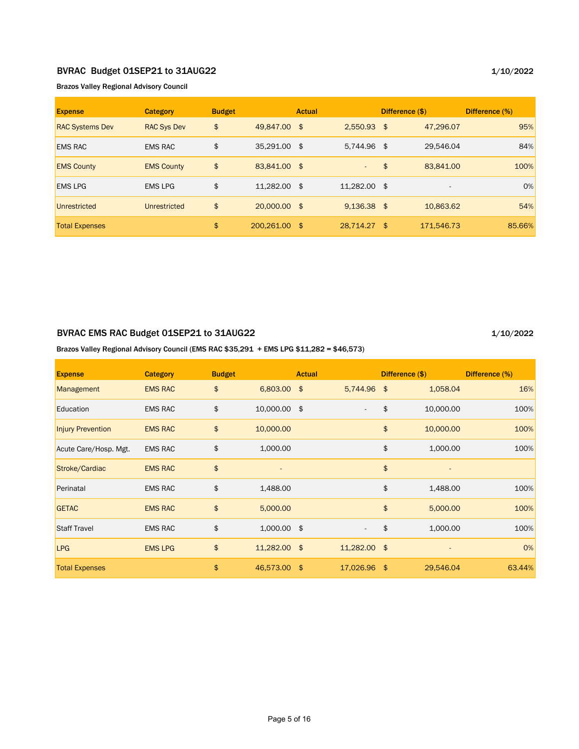#### BVRAC Budget 01SEP21 to 31AUG22

Brazos Valley Regional Advisory Council

| <b>Expense</b>         | <b>Category</b>     | <b>Budget</b> |               | <b>Actual</b> |               |               | Difference (\$) | Difference (%) |
|------------------------|---------------------|---------------|---------------|---------------|---------------|---------------|-----------------|----------------|
| <b>RAC Systems Dev</b> | <b>RAC Sys Dev</b>  | \$            | 49.847.00 \$  |               | $2.550.93$ \$ |               | 47,296.07       | 95%            |
| <b>EMS RAC</b>         | <b>EMS RAC</b>      | \$            | 35,291.00 \$  |               | 5,744.96 \$   |               | 29,546.04       | 84%            |
| <b>EMS County</b>      | <b>EMS County</b>   | \$            | 83,841.00 \$  |               | $\sim$        | $\frac{1}{2}$ | 83,841.00       | 100%           |
| <b>EMS LPG</b>         | <b>EMS LPG</b>      | \$            | 11,282.00 \$  |               | 11.282.00 \$  |               |                 | 0%             |
| Unrestricted           | <b>Unrestricted</b> | \$            | 20,000.00 \$  |               | $9,136.38$ \$ |               | 10,863.62       | 54%            |
| <b>Total Expenses</b>  |                     | \$            | 200.261.00 \$ |               | 28,714.27 \$  |               | 171,546.73      | 85.66%         |

## BVRAC EMS RAC Budget 01SEP21 to 31AUG22

1/10/2022

#### Brazos Valley Regional Advisory Council (EMS RAC \$35,291 + EMS LPG \$11,282 = \$46,573)

| <b>Expense</b>           | <b>Category</b> | <b>Budget</b> |               | <b>Actual</b> |              |               | Difference (\$) | Difference (%) |
|--------------------------|-----------------|---------------|---------------|---------------|--------------|---------------|-----------------|----------------|
| Management               | <b>EMS RAC</b>  | \$            | 6,803.00      | \$            | 5,744.96     | \$            | 1,058.04        | 16%            |
| Education                | <b>EMS RAC</b>  | \$            | 10,000.00 \$  |               |              | \$            | 10,000.00       | 100%           |
| <b>Injury Prevention</b> | <b>EMS RAC</b>  | \$            | 10,000.00     |               |              | \$            | 10,000.00       | 100%           |
| Acute Care/Hosp. Mgt.    | <b>EMS RAC</b>  | \$            | 1,000.00      |               |              | \$            | 1,000.00        | 100%           |
| Stroke/Cardiac           | <b>EMS RAC</b>  | \$            |               |               |              | \$            |                 |                |
| Perinatal                | <b>EMS RAC</b>  | \$            | 1,488.00      |               |              | \$            | 1,488.00        | 100%           |
| <b>GETAC</b>             | <b>EMS RAC</b>  | \$            | 5,000.00      |               |              | \$            | 5,000.00        | 100%           |
| <b>Staff Travel</b>      | <b>EMS RAC</b>  | \$            | $1,000.00$ \$ |               |              | \$            | 1,000.00        | 100%           |
| <b>LPG</b>               | <b>EMS LPG</b>  | \$            | 11,282.00 \$  |               | 11,282.00 \$ |               |                 | 0%             |
| <b>Total Expenses</b>    |                 | \$            | 46,573.00     | -\$           | 17,026.96    | $\frac{1}{2}$ | 29,546.04       | 63.44%         |

#### 1/10/2022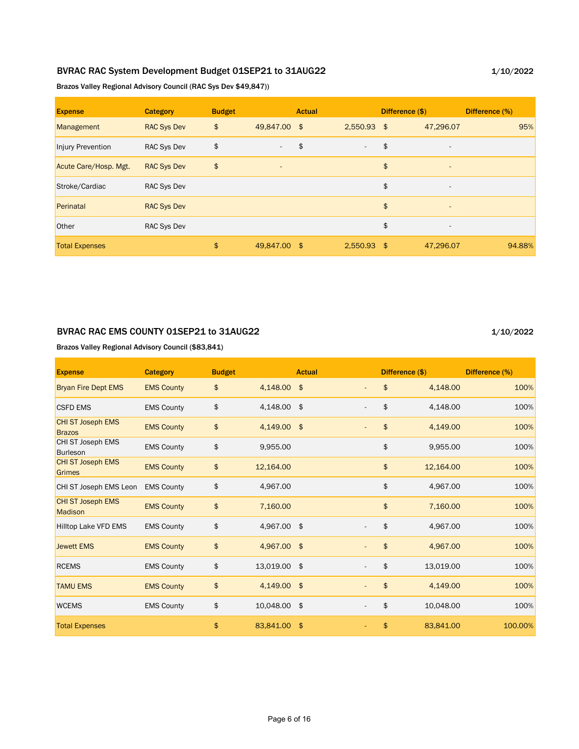## BVRAC RAC System Development Budget 01SEP21 to 31AUG22

1/10/2022

Brazos Valley Regional Advisory Council (RAC Sys Dev \$49,847))

| <b>Expense</b>        | <b>Category</b>    | <b>Budget</b> |                          | <b>Actual</b> |                          | Difference (\$)                | Difference (%) |
|-----------------------|--------------------|---------------|--------------------------|---------------|--------------------------|--------------------------------|----------------|
| Management            | <b>RAC Sys Dev</b> | \$            | 49,847.00 \$             |               | $2,550.93$ \$            | 47,296.07                      | 95%            |
| Injury Prevention     | <b>RAC Sys Dev</b> | \$            | $\overline{\phantom{a}}$ | \$            | $\overline{\phantom{a}}$ | \$<br>$\overline{\phantom{a}}$ |                |
| Acute Care/Hosp. Mgt. | <b>RAC Sys Dev</b> | \$            | $\overline{\phantom{a}}$ |               |                          | \$<br>$\overline{\phantom{a}}$ |                |
| Stroke/Cardiac        | <b>RAC Sys Dev</b> |               |                          |               |                          | \$<br>$\overline{\phantom{a}}$ |                |
| Perinatal             | <b>RAC Sys Dev</b> |               |                          |               |                          | \$<br>$\overline{\phantom{a}}$ |                |
| Other                 | <b>RAC Sys Dev</b> |               |                          |               |                          | \$<br>$\overline{\phantom{a}}$ |                |
| <b>Total Expenses</b> |                    | \$            | 49,847.00 \$             |               | $2,550.93$ \$            | 47,296.07                      | 94.88%         |

#### BVRAC RAC EMS COUNTY 01SEP21 to 31AUG22

1/10/2022

Brazos Valley Regional Advisory Council (\$83,841)

| <b>Expense</b>                             | <b>Category</b>   | <b>Budget</b> |              | <b>Actual</b> |    | Difference (\$) | Difference (%) |
|--------------------------------------------|-------------------|---------------|--------------|---------------|----|-----------------|----------------|
| <b>Bryan Fire Dept EMS</b>                 | <b>EMS County</b> | \$            | 4,148.00 \$  |               | \$ | 4,148.00        | 100%           |
| <b>CSFD EMS</b>                            | <b>EMS County</b> | \$            | 4,148.00 \$  |               | \$ | 4,148.00        | 100%           |
| <b>CHI ST Joseph EMS</b><br><b>Brazos</b>  | <b>EMS County</b> | \$            | 4,149.00 \$  |               | \$ | 4,149.00        | 100%           |
| CHI ST Joseph EMS<br><b>Burleson</b>       | <b>EMS County</b> | \$            | 9,955.00     |               | \$ | 9,955.00        | 100%           |
| <b>CHI ST Joseph EMS</b><br>Grimes         | <b>EMS County</b> | \$            | 12,164.00    |               | \$ | 12,164.00       | 100%           |
| CHI ST Joseph EMS Leon                     | <b>EMS County</b> | \$            | 4,967.00     |               | \$ | 4,967.00        | 100%           |
| <b>CHI ST Joseph EMS</b><br><b>Madison</b> | <b>EMS County</b> | \$            | 7,160.00     |               | \$ | 7,160.00        | 100%           |
| <b>Hilltop Lake VFD EMS</b>                | <b>EMS County</b> | \$            | 4,967.00 \$  |               | \$ | 4,967.00        | 100%           |
| <b>Jewett EMS</b>                          | <b>EMS County</b> | \$            | 4,967.00 \$  |               | \$ | 4,967.00        | 100%           |
| <b>RCEMS</b>                               | <b>EMS County</b> | \$            | 13,019.00 \$ |               | \$ | 13,019.00       | 100%           |
| <b>TAMU EMS</b>                            | <b>EMS County</b> | \$            | 4,149.00 \$  |               | \$ | 4,149.00        | 100%           |
| <b>WCEMS</b>                               | <b>EMS County</b> | \$            | 10,048.00 \$ |               | \$ | 10,048.00       | 100%           |
| <b>Total Expenses</b>                      |                   | \$            | 83,841.00 \$ |               | \$ | 83,841.00       | 100.00%        |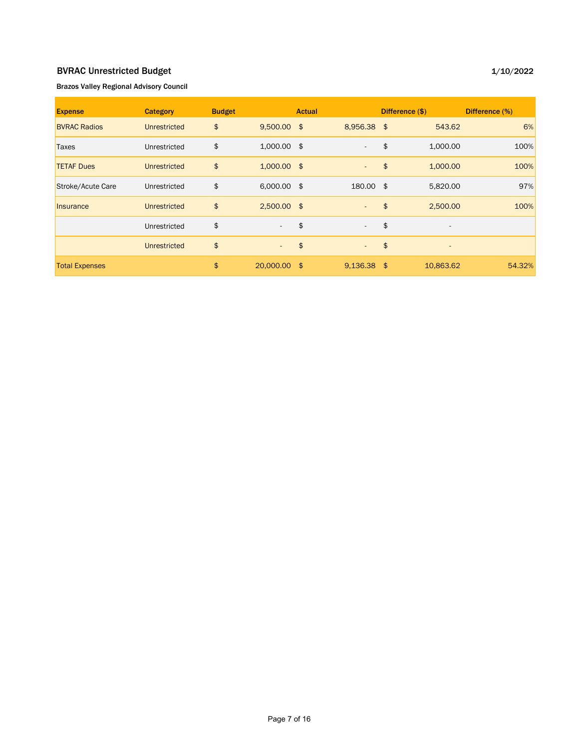## BVRAC Unrestricted Budget

#### 1/10/2022

#### Brazos Valley Regional Advisory Council

| <b>Expense</b>        | <b>Category</b> | <b>Budget</b> |               | <b>Actual</b> |                          |     | Difference (\$)              | Difference (%) |
|-----------------------|-----------------|---------------|---------------|---------------|--------------------------|-----|------------------------------|----------------|
| <b>BVRAC Radios</b>   | Unrestricted    | \$            | $9,500.00$ \$ |               | 8,956.38 \$              |     | 543.62                       | 6%             |
| Taxes                 | Unrestricted    | \$            | $1,000.00$ \$ |               | $\overline{\phantom{a}}$ | \$  | 1,000.00                     | 100%           |
| <b>TETAF Dues</b>     | Unrestricted    | \$            | $1,000.00$ \$ |               | $\sim$                   | \$  | 1,000.00                     | 100%           |
| Stroke/Acute Care     | Unrestricted    | \$            | $6,000.00$ \$ |               | 180.00 \$                |     | 5,820.00                     | 97%            |
| Insurance             | Unrestricted    | \$            | $2,500.00$ \$ |               | $\overline{\phantom{a}}$ | \$  | 2,500.00                     | 100%           |
|                       | Unrestricted    | \$            | $\sim$        | \$            | $\overline{\phantom{a}}$ | \$  | ٠                            |                |
|                       | Unrestricted    | \$            | $\sim$        | $\frac{4}{5}$ | $\sim$                   | \$  | $\qquad \qquad \blacksquare$ |                |
| <b>Total Expenses</b> |                 | \$            | 20,000.00 \$  |               | 9,136.38                 | -\$ | 10,863.62                    | 54.32%         |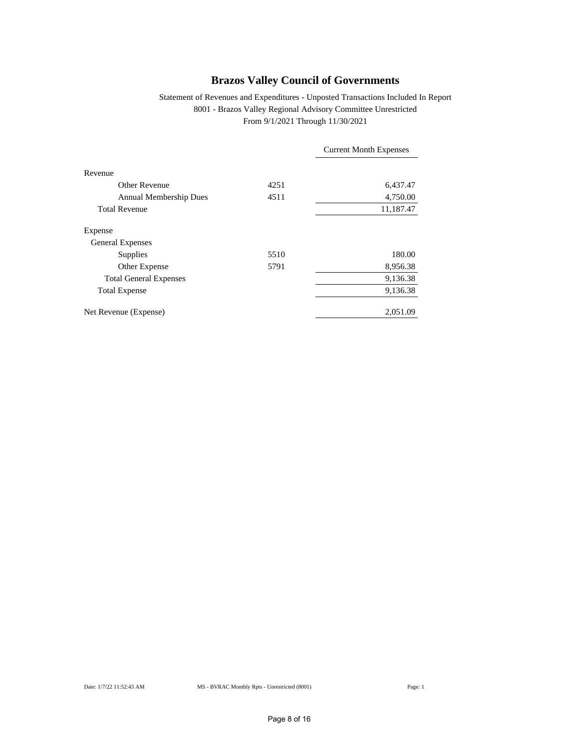#### Statement of Revenues and Expenditures - Unposted Transactions Included In Report 8001 - Brazos Valley Regional Advisory Committee Unrestricted From 9/1/2021 Through 11/30/2021

|                               |      | <b>Current Month Expenses</b> |
|-------------------------------|------|-------------------------------|
| Revenue                       |      |                               |
| Other Revenue                 | 4251 | 6,437.47                      |
| Annual Membership Dues        | 4511 | 4,750.00                      |
| <b>Total Revenue</b>          |      | 11,187.47                     |
| Expense                       |      |                               |
| <b>General Expenses</b>       |      |                               |
| Supplies                      | 5510 | 180.00                        |
| Other Expense                 | 5791 | 8,956.38                      |
| <b>Total General Expenses</b> |      | 9,136.38                      |
| <b>Total Expense</b>          |      | 9,136.38                      |
| Net Revenue (Expense)         |      | 2,051.09                      |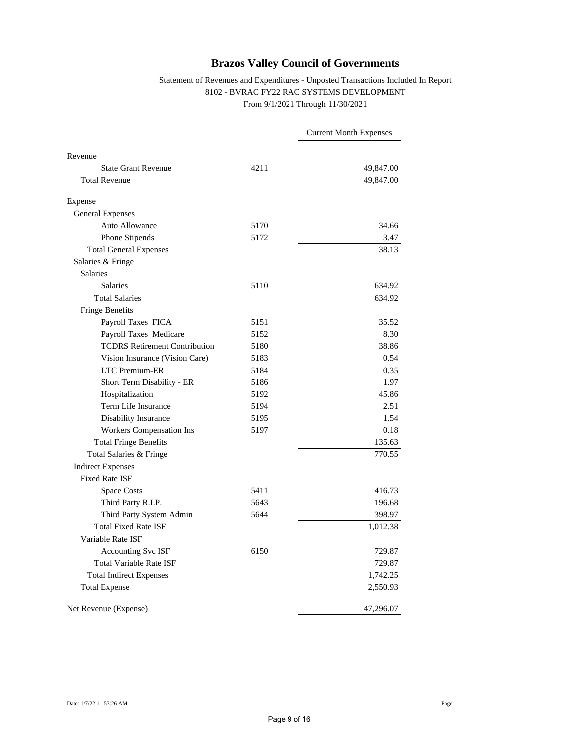#### Statement of Revenues and Expenditures - Unposted Transactions Included In Report 8102 - BVRAC FY22 RAC SYSTEMS DEVELOPMENT From 9/1/2021 Through 11/30/2021

|                                      |      | <b>Current Month Expenses</b> |
|--------------------------------------|------|-------------------------------|
| Revenue                              |      |                               |
| <b>State Grant Revenue</b>           | 4211 | 49,847.00                     |
| <b>Total Revenue</b>                 |      | 49,847.00                     |
| Expense                              |      |                               |
| <b>General Expenses</b>              |      |                               |
| Auto Allowance                       | 5170 | 34.66                         |
| Phone Stipends                       | 5172 | 3.47                          |
| <b>Total General Expenses</b>        |      | 38.13                         |
| Salaries & Fringe                    |      |                               |
| <b>Salaries</b>                      |      |                               |
| <b>Salaries</b>                      | 5110 | 634.92                        |
| <b>Total Salaries</b>                |      | 634.92                        |
| Fringe Benefits                      |      |                               |
| Payroll Taxes FICA                   | 5151 | 35.52                         |
| Payroll Taxes Medicare               | 5152 | 8.30                          |
| <b>TCDRS Retirement Contribution</b> | 5180 | 38.86                         |
| Vision Insurance (Vision Care)       | 5183 | 0.54                          |
| <b>LTC Premium-ER</b>                | 5184 | 0.35                          |
| Short Term Disability - ER           | 5186 | 1.97                          |
| Hospitalization                      | 5192 | 45.86                         |
| Term Life Insurance                  | 5194 | 2.51                          |
| Disability Insurance                 | 5195 | 1.54                          |
| Workers Compensation Ins             | 5197 | 0.18                          |
| <b>Total Fringe Benefits</b>         |      | 135.63                        |
| Total Salaries & Fringe              |      | 770.55                        |
| <b>Indirect Expenses</b>             |      |                               |
| <b>Fixed Rate ISF</b>                |      |                               |
| <b>Space Costs</b>                   | 5411 | 416.73                        |
| Third Party R.I.P.                   | 5643 | 196.68                        |
| Third Party System Admin             | 5644 | 398.97                        |
| <b>Total Fixed Rate ISF</b>          |      | 1,012.38                      |
| Variable Rate ISF                    |      |                               |
| <b>Accounting Svc ISF</b>            | 6150 | 729.87                        |
| <b>Total Variable Rate ISF</b>       |      | 729.87                        |
| <b>Total Indirect Expenses</b>       |      | 1,742.25                      |
| <b>Total Expense</b>                 |      | 2,550.93                      |
| Net Revenue (Expense)                |      | 47,296.07                     |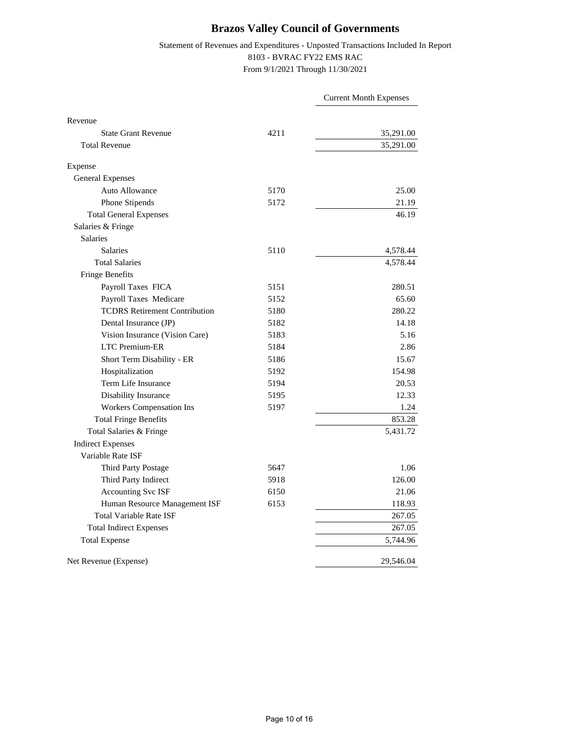#### Statement of Revenues and Expenditures - Unposted Transactions Included In Report 8103 - BVRAC FY22 EMS RAC From 9/1/2021 Through 11/30/2021

|                                      |      | <b>Current Month Expenses</b> |
|--------------------------------------|------|-------------------------------|
| Revenue                              |      |                               |
| <b>State Grant Revenue</b>           | 4211 | 35,291.00                     |
| <b>Total Revenue</b>                 |      | 35,291.00                     |
| Expense                              |      |                               |
| <b>General Expenses</b>              |      |                               |
| <b>Auto Allowance</b>                | 5170 | 25.00                         |
| Phone Stipends                       | 5172 | 21.19                         |
| <b>Total General Expenses</b>        |      | 46.19                         |
| Salaries & Fringe                    |      |                               |
| <b>Salaries</b>                      |      |                               |
| <b>Salaries</b>                      | 5110 | 4,578.44                      |
| <b>Total Salaries</b>                |      | 4,578.44                      |
| Fringe Benefits                      |      |                               |
| Payroll Taxes FICA                   | 5151 | 280.51                        |
| Payroll Taxes Medicare               | 5152 | 65.60                         |
| <b>TCDRS Retirement Contribution</b> | 5180 | 280.22                        |
| Dental Insurance (JP)                | 5182 | 14.18                         |
| Vision Insurance (Vision Care)       | 5183 | 5.16                          |
| <b>LTC</b> Premium-ER                | 5184 | 2.86                          |
| Short Term Disability - ER           | 5186 | 15.67                         |
| Hospitalization                      | 5192 | 154.98                        |
| Term Life Insurance                  | 5194 | 20.53                         |
| Disability Insurance                 | 5195 | 12.33                         |
| <b>Workers Compensation Ins</b>      | 5197 | 1.24                          |
| <b>Total Fringe Benefits</b>         |      | 853.28                        |
| Total Salaries & Fringe              |      | 5,431.72                      |
| <b>Indirect Expenses</b>             |      |                               |
| Variable Rate ISF                    |      |                               |
| Third Party Postage                  | 5647 | 1.06                          |
| Third Party Indirect                 | 5918 | 126.00                        |
| Accounting Svc ISF                   | 6150 | 21.06                         |
| Human Resource Management ISF        | 6153 | 118.93                        |
| <b>Total Variable Rate ISF</b>       |      | 267.05                        |
| <b>Total Indirect Expenses</b>       |      | 267.05                        |
| <b>Total Expense</b>                 |      | 5,744.96                      |
| Net Revenue (Expense)                |      | 29,546.04                     |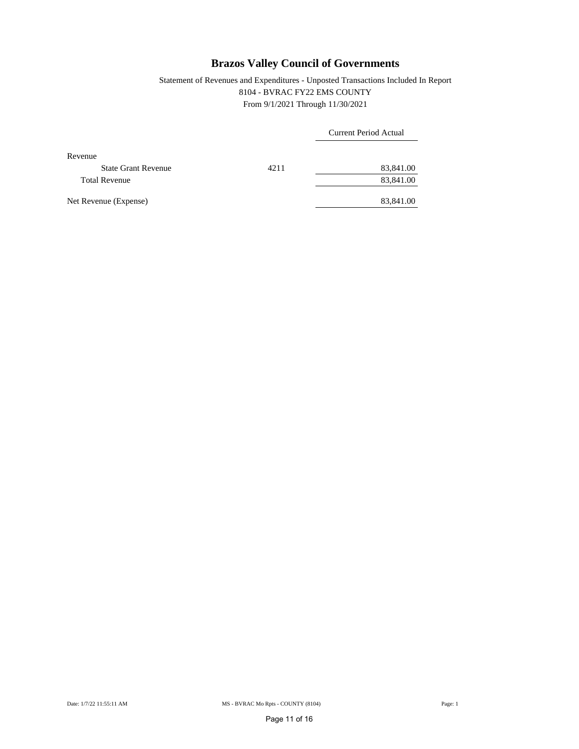### Statement of Revenues and Expenditures - Unposted Transactions Included In Report 8104 - BVRAC FY22 EMS COUNTY From 9/1/2021 Through 11/30/2021

|                            |      | Current Period Actual |  |  |  |
|----------------------------|------|-----------------------|--|--|--|
| Revenue                    |      |                       |  |  |  |
| <b>State Grant Revenue</b> | 4211 | 83,841.00             |  |  |  |
| <b>Total Revenue</b>       |      | 83,841.00             |  |  |  |
| Net Revenue (Expense)      |      | 83,841.00             |  |  |  |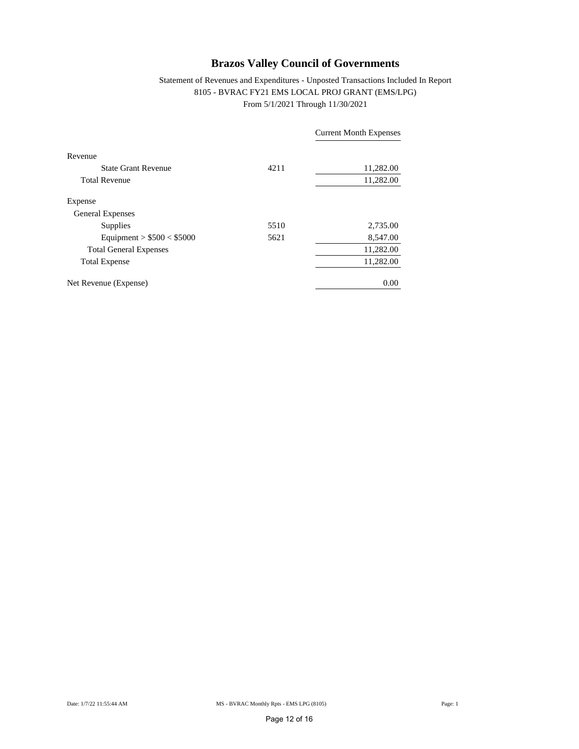#### Statement of Revenues and Expenditures - Unposted Transactions Included In Report 8105 - BVRAC FY21 EMS LOCAL PROJ GRANT (EMS/LPG) From 5/1/2021 Through 11/30/2021

|                               |      | <b>Current Month Expenses</b> |
|-------------------------------|------|-------------------------------|
| Revenue                       |      |                               |
| <b>State Grant Revenue</b>    | 4211 | 11,282.00                     |
| <b>Total Revenue</b>          |      | 11,282.00                     |
| Expense                       |      |                               |
| <b>General Expenses</b>       |      |                               |
| Supplies                      | 5510 | 2,735.00                      |
| Equipment > $$500 < $5000$    | 5621 | 8,547.00                      |
| <b>Total General Expenses</b> |      | 11,282.00                     |
| <b>Total Expense</b>          |      | 11,282.00                     |
| Net Revenue (Expense)         |      | 0.00                          |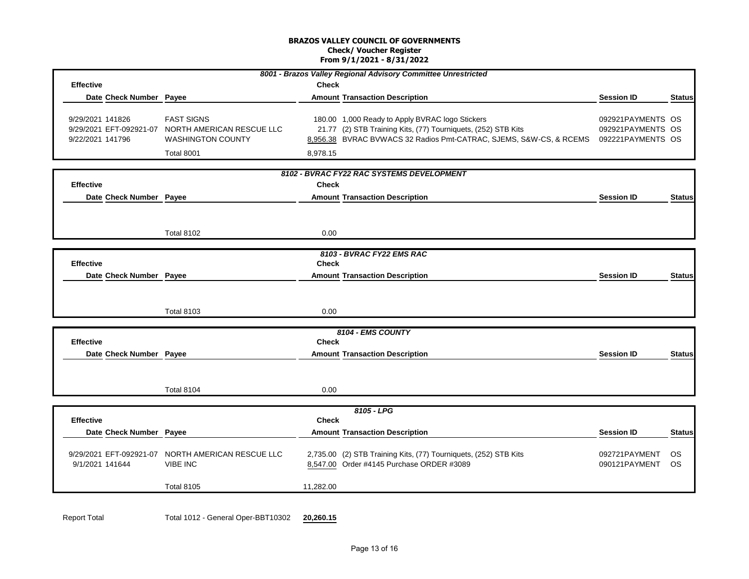#### **BRAZOS VALLEY COUNCIL OF GOVERNMENTS Check/ Voucher Register From 9/1/2021 - 8/31/2022**

|                         |                                    |              | 8001 - Brazos Valley Regional Advisory Committee Unrestricted                        |                   |               |  |
|-------------------------|------------------------------------|--------------|--------------------------------------------------------------------------------------|-------------------|---------------|--|
| <b>Effective</b>        |                                    | <b>Check</b> |                                                                                      |                   |               |  |
| Date Check Number       | Payee                              |              | <b>Amount Transaction Description</b>                                                | <b>Session ID</b> | <b>Status</b> |  |
|                         |                                    |              |                                                                                      |                   |               |  |
| 9/29/2021 141826        | <b>FAST SIGNS</b>                  |              | 180.00 1,000 Ready to Apply BVRAC logo Stickers                                      | 092921PAYMENTS OS |               |  |
| 9/29/2021 EFT-092921-07 | NORTH AMERICAN RESCUE LLC          |              | 21.77 (2) STB Training Kits, (77) Tourniquets, (252) STB Kits                        | 092921PAYMENTS OS |               |  |
| 9/22/2021 141796        | <b>WASHINGTON COUNTY</b>           |              | 8,956.38 BVRAC BVWACS 32 Radios Pmt-CATRAC, SJEMS, S&W-CS, & RCEMS 092221PAYMENTS OS |                   |               |  |
|                         | Total 8001                         | 8,978.15     |                                                                                      |                   |               |  |
|                         |                                    |              | 8102 - BVRAC FY22 RAC SYSTEMS DEVELOPMENT                                            |                   |               |  |
| <b>Effective</b>        |                                    | <b>Check</b> |                                                                                      |                   |               |  |
| Date Check Number Payee |                                    |              | <b>Amount Transaction Description</b>                                                | <b>Session ID</b> | <b>Status</b> |  |
|                         |                                    |              |                                                                                      |                   |               |  |
|                         |                                    |              |                                                                                      |                   |               |  |
|                         | <b>Total 8102</b>                  | 0.00         |                                                                                      |                   |               |  |
|                         |                                    |              |                                                                                      |                   |               |  |
|                         |                                    |              | 8103 - BVRAC FY22 EMS RAC                                                            |                   |               |  |
| <b>Effective</b>        |                                    | <b>Check</b> |                                                                                      |                   |               |  |
| Date Check Number Payee |                                    |              | <b>Amount Transaction Description</b>                                                | <b>Session ID</b> | <b>Status</b> |  |
|                         |                                    |              |                                                                                      |                   |               |  |
|                         |                                    |              |                                                                                      |                   |               |  |
|                         | <b>Total 8103</b>                  | 0.00         |                                                                                      |                   |               |  |
|                         |                                    |              |                                                                                      |                   |               |  |
| <b>Effective</b>        |                                    | <b>Check</b> | 8104 - EMS COUNTY                                                                    |                   |               |  |
| Date Check Number Payee |                                    |              | <b>Amount Transaction Description</b>                                                | <b>Session ID</b> | <b>Status</b> |  |
|                         |                                    |              |                                                                                      |                   |               |  |
|                         |                                    |              |                                                                                      |                   |               |  |
|                         | Total 8104                         | 0.00         |                                                                                      |                   |               |  |
|                         |                                    |              |                                                                                      |                   |               |  |
|                         |                                    |              | $8105 - LPG$                                                                         |                   |               |  |
| <b>Effective</b>        |                                    | <b>Check</b> |                                                                                      |                   |               |  |
| Date Check Number Payee |                                    |              | <b>Amount Transaction Description</b>                                                | <b>Session ID</b> | <b>Status</b> |  |
|                         |                                    |              |                                                                                      |                   |               |  |
| 9/29/2021 EFT-092921-07 | NORTH AMERICAN RESCUE LLC          |              | 2,735.00 (2) STB Training Kits, (77) Tourniquets, (252) STB Kits                     | 092721PAYMENT     | <b>OS</b>     |  |
| 9/1/2021 141644         | <b>VIBE INC</b>                    |              | 8,547.00 Order #4145 Purchase ORDER #3089                                            | 090121PAYMENT     | <b>OS</b>     |  |
|                         | <b>Total 8105</b>                  | 11,282.00    |                                                                                      |                   |               |  |
|                         |                                    |              |                                                                                      |                   |               |  |
|                         |                                    |              |                                                                                      |                   |               |  |
| <b>Report Total</b>     | Total 1012 - General Oper-BBT10302 | 20,260.15    |                                                                                      |                   |               |  |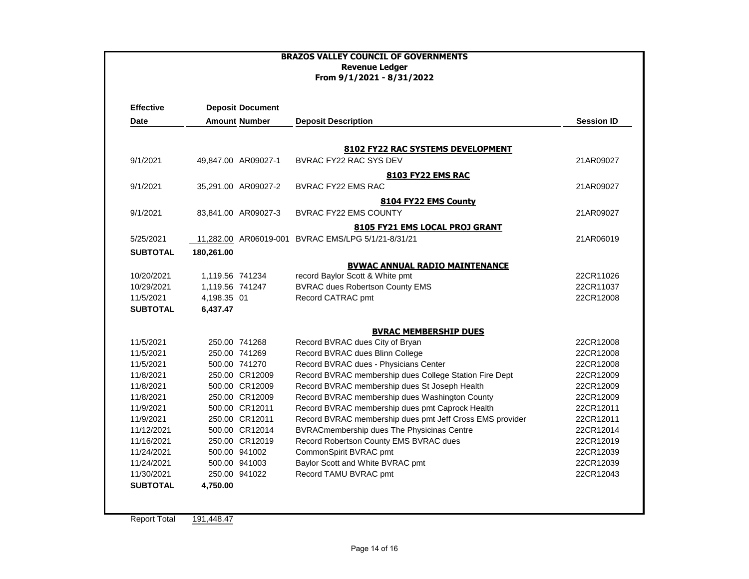|                                             | <b>BRAZOS VALLEY COUNCIL OF GOVERNMENTS</b><br><b>Revenue Ledger</b><br>From 9/1/2021 - 8/31/2022 |                      |                                                          |                   |  |  |  |
|---------------------------------------------|---------------------------------------------------------------------------------------------------|----------------------|----------------------------------------------------------|-------------------|--|--|--|
| <b>Effective</b><br><b>Deposit Document</b> |                                                                                                   |                      |                                                          |                   |  |  |  |
| <b>Date</b>                                 |                                                                                                   | <b>Amount Number</b> | <b>Deposit Description</b>                               | <b>Session ID</b> |  |  |  |
|                                             |                                                                                                   |                      |                                                          |                   |  |  |  |
|                                             |                                                                                                   |                      | 8102 FY22 RAC SYSTEMS DEVELOPMENT                        |                   |  |  |  |
| 9/1/2021                                    |                                                                                                   | 49,847.00 AR09027-1  | BVRAC FY22 RAC SYS DEV                                   | 21AR09027         |  |  |  |
|                                             |                                                                                                   |                      | <b>8103 FY22 EMS RAC</b>                                 |                   |  |  |  |
| 9/1/2021                                    |                                                                                                   | 35,291.00 AR09027-2  | <b>BVRAC FY22 EMS RAC</b>                                | 21AR09027         |  |  |  |
|                                             |                                                                                                   |                      | 8104 FY22 EMS County                                     |                   |  |  |  |
| 9/1/2021                                    |                                                                                                   | 83,841.00 AR09027-3  | <b>BVRAC FY22 EMS COUNTY</b>                             | 21AR09027         |  |  |  |
|                                             |                                                                                                   |                      | 8105 FY21 EMS LOCAL PROJ GRANT                           |                   |  |  |  |
| 5/25/2021                                   |                                                                                                   |                      | 11,282.00 AR06019-001 BVRAC EMS/LPG 5/1/21-8/31/21       | 21AR06019         |  |  |  |
|                                             |                                                                                                   |                      |                                                          |                   |  |  |  |
| <b>SUBTOTAL</b>                             | 180,261.00                                                                                        |                      |                                                          |                   |  |  |  |
|                                             |                                                                                                   |                      | <b>BVWAC ANNUAL RADIO MAINTENANCE</b>                    |                   |  |  |  |
| 10/20/2021                                  | 1,119.56 741234                                                                                   |                      | record Baylor Scott & White pmt                          | 22CR11026         |  |  |  |
| 10/29/2021                                  | 1.119.56 741247                                                                                   |                      | <b>BVRAC dues Robertson County EMS</b>                   | 22CR11037         |  |  |  |
| 11/5/2021<br><b>SUBTOTAL</b>                | 4,198.35 01<br>6,437.47                                                                           |                      | Record CATRAC pmt                                        | 22CR12008         |  |  |  |
|                                             |                                                                                                   |                      |                                                          |                   |  |  |  |
|                                             |                                                                                                   |                      | <b>BVRAC MEMBERSHIP DUES</b>                             |                   |  |  |  |
| 11/5/2021                                   |                                                                                                   | 250.00 741268        | Record BVRAC dues City of Bryan                          | 22CR12008         |  |  |  |
| 11/5/2021                                   |                                                                                                   | 250.00 741269        | Record BVRAC dues Blinn College                          | 22CR12008         |  |  |  |
| 11/5/2021                                   |                                                                                                   | 500.00 741270        | Record BVRAC dues - Physicians Center                    | 22CR12008         |  |  |  |
| 11/8/2021                                   |                                                                                                   | 250.00 CR12009       | Record BVRAC membership dues College Station Fire Dept   | 22CR12009         |  |  |  |
| 11/8/2021                                   |                                                                                                   | 500.00 CR12009       | Record BVRAC membership dues St Joseph Health            | 22CR12009         |  |  |  |
| 11/8/2021                                   |                                                                                                   | 250.00 CR12009       | Record BVRAC membership dues Washington County           | 22CR12009         |  |  |  |
| 11/9/2021                                   |                                                                                                   | 500.00 CR12011       | Record BVRAC membership dues pmt Caprock Health          | 22CR12011         |  |  |  |
| 11/9/2021                                   |                                                                                                   | 250.00 CR12011       | Record BVRAC membership dues pmt Jeff Cross EMS provider | 22CR12011         |  |  |  |
| 11/12/2021                                  |                                                                                                   | 500.00 CR12014       | BVRACmembership dues The Physicinas Centre               | 22CR12014         |  |  |  |
| 11/16/2021                                  |                                                                                                   | 250.00 CR12019       | Record Robertson County EMS BVRAC dues                   | 22CR12019         |  |  |  |
| 11/24/2021                                  |                                                                                                   | 500.00 941002        | CommonSpirit BVRAC pmt                                   | 22CR12039         |  |  |  |
| 11/24/2021                                  |                                                                                                   | 500.00 941003        | Baylor Scott and White BVRAC pmt                         | 22CR12039         |  |  |  |
| 11/30/2021                                  |                                                                                                   | 250.00 941022        | Record TAMU BVRAC pmt                                    | 22CR12043         |  |  |  |
| <b>SUBTOTAL</b>                             | 4,750.00                                                                                          |                      |                                                          |                   |  |  |  |
|                                             |                                                                                                   |                      |                                                          |                   |  |  |  |
|                                             |                                                                                                   |                      |                                                          |                   |  |  |  |
| <b>Report Total</b>                         | 191,448.47                                                                                        |                      |                                                          |                   |  |  |  |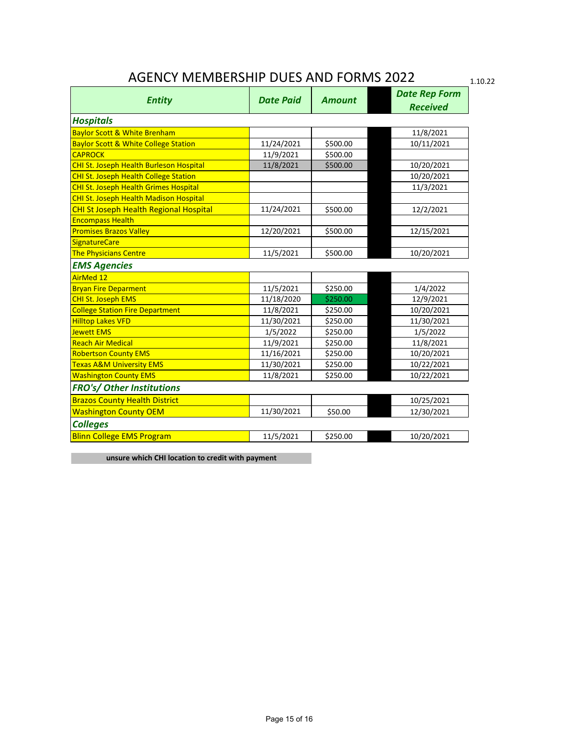## AGENCY MEMBERSHIP DUES AND FORMS 2022

1.10.22

| <b>Entity</b>                                   | <b>Date Paid</b> | <b>Amount</b> | <b>Date Rep Form</b> |
|-------------------------------------------------|------------------|---------------|----------------------|
|                                                 |                  |               | <b>Received</b>      |
| <b>Hospitals</b>                                |                  |               |                      |
| <b>Baylor Scott &amp; White Brenham</b>         |                  |               | 11/8/2021            |
| <b>Baylor Scott &amp; White College Station</b> | 11/24/2021       | \$500.00      | 10/11/2021           |
| <b>CAPROCK</b>                                  | 11/9/2021        | \$500.00      |                      |
| CHI St. Joseph Health Burleson Hospital         | 11/8/2021        | \$500.00      | 10/20/2021           |
| <b>CHI St. Joseph Health College Station</b>    |                  |               | 10/20/2021           |
| CHI St. Joseph Health Grimes Hospital           |                  |               | 11/3/2021            |
| CHI St. Joseph Health Madison Hospital          |                  |               |                      |
| <b>CHI St Joseph Health Regional Hospital</b>   | 11/24/2021       | \$500.00      | 12/2/2021            |
| <b>Encompass Health</b>                         |                  |               |                      |
| <b>Promises Brazos Valley</b>                   | 12/20/2021       | \$500.00      | 12/15/2021           |
| <b>SignatureCare</b>                            |                  |               |                      |
| <b>The Physicians Centre</b>                    | 11/5/2021        | \$500.00      | 10/20/2021           |
| <b>EMS Agencies</b>                             |                  |               |                      |
| <b>AirMed 12</b>                                |                  |               |                      |
| <b>Bryan Fire Deparment</b>                     | 11/5/2021        | \$250.00      | 1/4/2022             |
| <b>CHI St. Joseph EMS</b>                       | 11/18/2020       | \$250.00      | 12/9/2021            |
| <b>College Station Fire Department</b>          | 11/8/2021        | \$250.00      | 10/20/2021           |
| <b>Hilltop Lakes VFD</b>                        | 11/30/2021       | \$250.00      | 11/30/2021           |
| <b>Jewett EMS</b>                               | 1/5/2022         | \$250.00      | 1/5/2022             |
| <b>Reach Air Medical</b>                        | 11/9/2021        | \$250.00      | 11/8/2021            |
| <b>Robertson County EMS</b>                     | 11/16/2021       | \$250.00      | 10/20/2021           |
| <b>Texas A&amp;M University EMS</b>             | 11/30/2021       | \$250.00      | 10/22/2021           |
| <b>Washington County EMS</b>                    | 11/8/2021        | \$250.00      | 10/22/2021           |
| FRO's/ Other Institutions                       |                  |               |                      |
| <b>Brazos County Health District</b>            |                  |               | 10/25/2021           |
| <b>Washington County OEM</b>                    | 11/30/2021       | \$50.00       | 12/30/2021           |
| <b>Colleges</b>                                 |                  |               |                      |
| <b>Blinn College EMS Program</b>                | 11/5/2021        | \$250.00      | 10/20/2021           |

**unsure which CHI location to credit with payment**